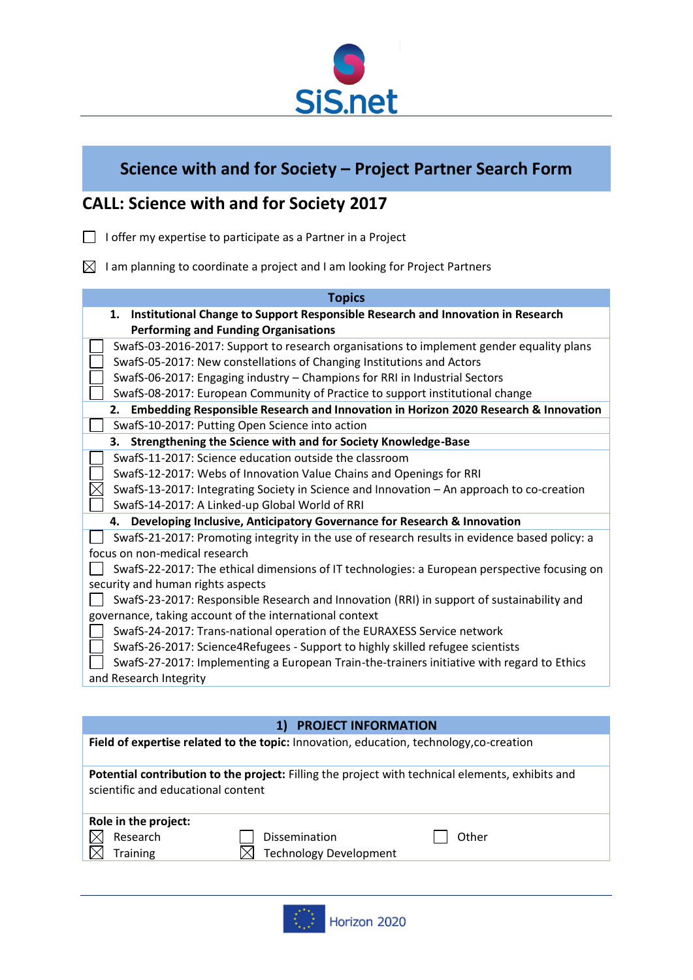

# **Science with and for Society – Project Partner Search Form**

## **CALL: Science with and for Society 2017**

- $\Box$  I offer my expertise to participate as a Partner in a Project
- $\boxtimes$  I am planning to coordinate a project and I am looking for Project Partners

| <b>Topics</b>                                                                                 |
|-----------------------------------------------------------------------------------------------|
| 1.<br>Institutional Change to Support Responsible Research and Innovation in Research         |
| <b>Performing and Funding Organisations</b>                                                   |
| SwafS-03-2016-2017: Support to research organisations to implement gender equality plans      |
| SwafS-05-2017: New constellations of Changing Institutions and Actors                         |
| SwafS-06-2017: Engaging industry - Champions for RRI in Industrial Sectors                    |
| SwafS-08-2017: European Community of Practice to support institutional change                 |
| Embedding Responsible Research and Innovation in Horizon 2020 Research & Innovation<br>2.     |
| SwafS-10-2017: Putting Open Science into action                                               |
| Strengthening the Science with and for Society Knowledge-Base<br>З.                           |
| SwafS-11-2017: Science education outside the classroom                                        |
| SwafS-12-2017: Webs of Innovation Value Chains and Openings for RRI                           |
| SwafS-13-2017: Integrating Society in Science and Innovation - An approach to co-creation     |
| SwafS-14-2017: A Linked-up Global World of RRI                                                |
| 4. Developing Inclusive, Anticipatory Governance for Research & Innovation                    |
| SwafS-21-2017: Promoting integrity in the use of research results in evidence based policy: a |
| focus on non-medical research                                                                 |
| SwafS-22-2017: The ethical dimensions of IT technologies: a European perspective focusing on  |
| security and human rights aspects                                                             |
| SwafS-23-2017: Responsible Research and Innovation (RRI) in support of sustainability and     |
| governance, taking account of the international context                                       |
| SwafS-24-2017: Trans-national operation of the EURAXESS Service network                       |
| SwafS-26-2017: Science4Refugees - Support to highly skilled refugee scientists                |
| SwafS-27-2017: Implementing a European Train-the-trainers initiative with regard to Ethics    |
| and Research Integrity                                                                        |

|                                                     | <b>PROJECT INFORMATION</b>                                                                       |       |
|-----------------------------------------------------|--------------------------------------------------------------------------------------------------|-------|
|                                                     | Field of expertise related to the topic: Innovation, education, technology, co-creation          |       |
| scientific and educational content                  | Potential contribution to the project: Filling the project with technical elements, exhibits and |       |
| Role in the project:<br>Research<br><b>Training</b> | <b>Dissemination</b><br><b>Technology Development</b>                                            | Other |
|                                                     |                                                                                                  |       |

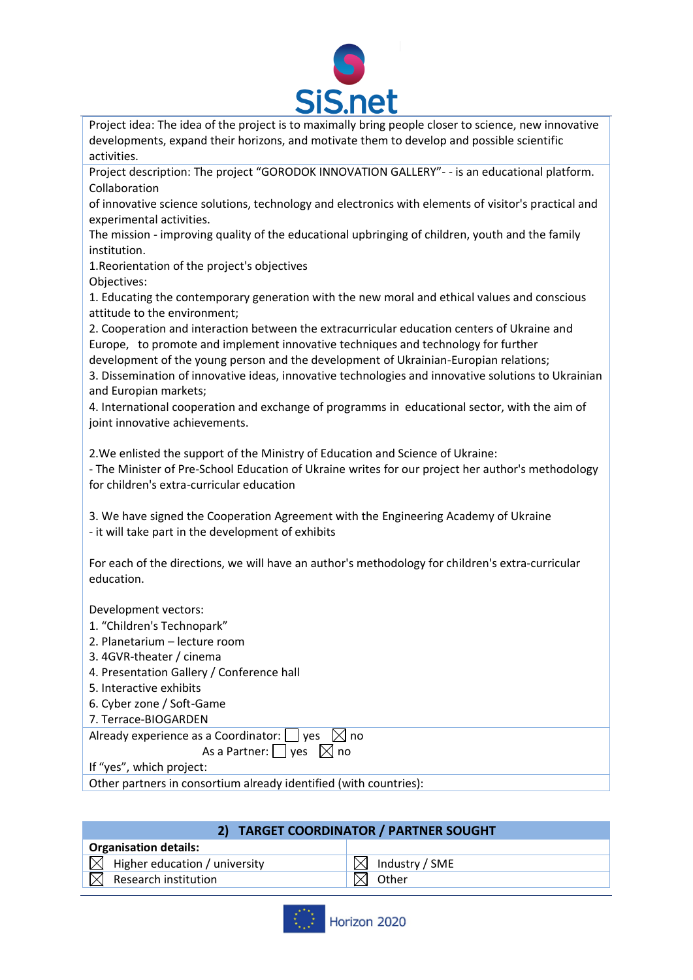

Project idea: The idea of the project is to maximally bring people closer to science, new innovative developments, expand their horizons, and motivate them to develop and possible scientific activities.

Project description: The project "GORODOK INNOVATION GALLERY"- - is an educational platform. Collaboration

of innovative science solutions, technology and electronics with elements of visitor's practical and experimental activities.

The mission - improving quality of the educational upbringing of children, youth and the family institution.

1.Reorientation of the project's objectives

Objectives:

1. Educating the contemporary generation with the new moral and ethical values and conscious attitude to the environment;

2. Cooperation and interaction between the extracurricular education centers of Ukraine and Europe, to promote and implement innovative techniques and technology for further development of the young person and the development of Ukrainian-Europian relations;

3. Dissemination of innovative ideas, innovative technologies and innovative solutions to Ukrainian and Europian markets;

4. International cooperation and exchange of programms in educational sector, with the aim of joint innovative achievements.

2.We enlisted the support of the Ministry of Education and Science of Ukraine:

- The Minister of Pre-School Education of Ukraine writes for our project her author's methodology for children's extra-curricular education

3. We have signed the Cooperation Agreement with the Engineering Academy of Ukraine - it will take part in the development of exhibits

For each of the directions, we will have an author's methodology for children's extra-curricular education.

Development vectors:

- 1. "Children's Technopark"
- 2. Planetarium lecture room
- 3. 4GVR-theater / cinema
- 4. Presentation Gallery / Conference hall
- 5. Interactive exhibits
- 6. Cyber zone / Soft-Game
- 7. Terrace-BIOGARDEN

Already experience as a Coordinator:  $\Box$  yes  $\boxtimes$  no

As a Partner:  $\Box$  yes  $\Box$  no

If "yes", which project:

Other partners in consortium already identified (with countries):

| 2) TARGET COORDINATOR / PARTNER SOUGHT    |                          |  |  |
|-------------------------------------------|--------------------------|--|--|
| <b>Organisation details:</b>              |                          |  |  |
| $\boxtimes$ Higher education / university | $\bowtie$ Industry / SME |  |  |
| Research institution                      | Other                    |  |  |